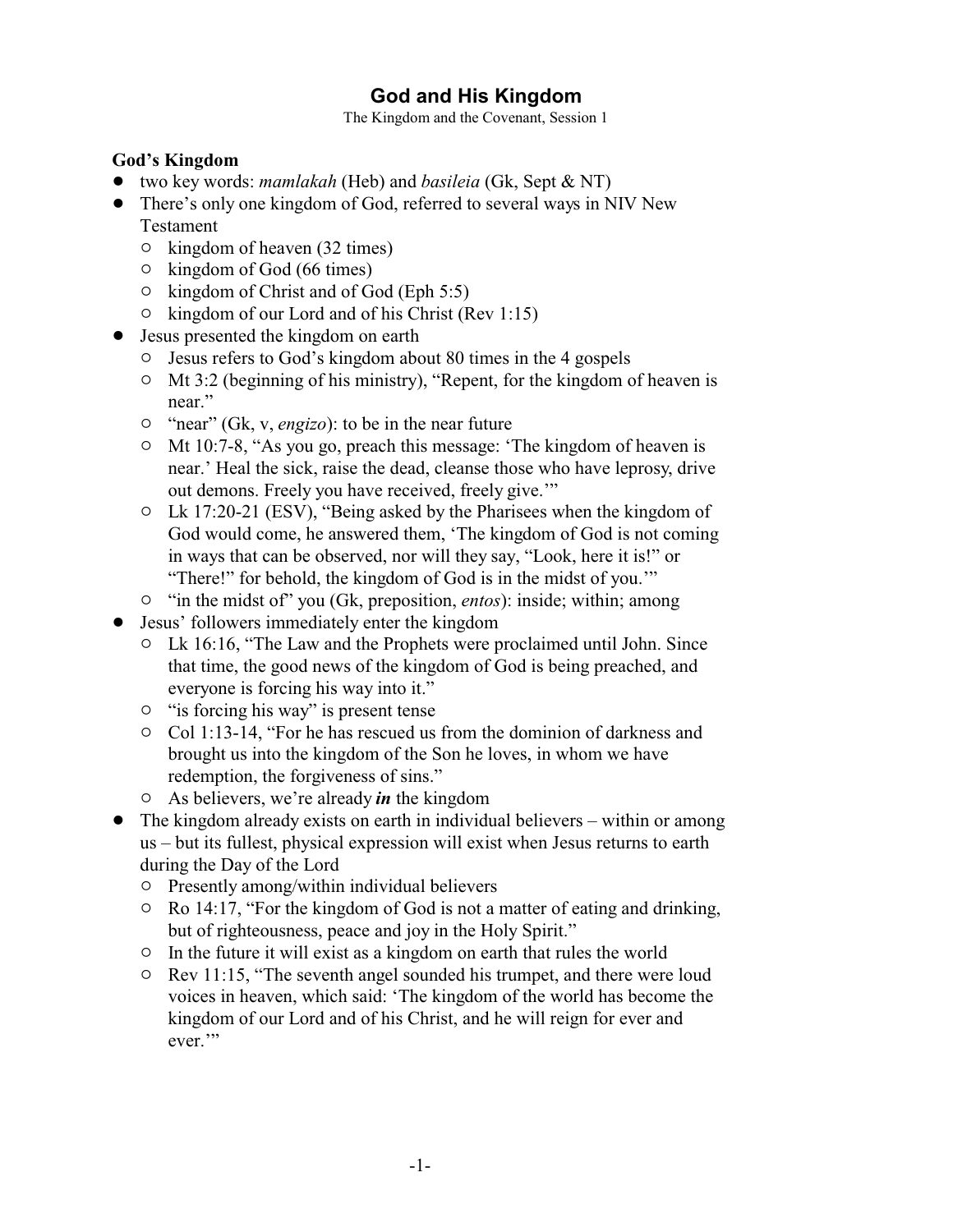# **God and His Kingdom**

The Kingdom and the Covenant, Session 1

#### **God's Kingdom**

- ! two key words: *mamlakah* (Heb) and *basileia* (Gk, Sept & NT)
- There's only one kingdom of God, referred to several ways in NIV New Testament
	- $\circ$  kingdom of heaven (32 times)
	- $\circ$  kingdom of God (66 times)
	- $\circ$  kingdom of Christ and of God (Eph 5:5)
	- $\circ$  kingdom of our Lord and of his Christ (Rev 1:15)
- Jesus presented the kingdom on earth
	- " Jesus refers to God's kingdom about 80 times in the 4 gospels
	- $\circ$  Mt 3:2 (beginning of his ministry), "Repent, for the kingdom of heaven is near."
	- <sup>o</sup> "near" (Gk, v, *engizo*): to be in the near future
	- " Mt 10:7-8, "As you go, preach this message: 'The kingdom of heaven is near.' Heal the sick, raise the dead, cleanse those who have leprosy, drive out demons. Freely you have received, freely give.'"
	- $\circ$  Lk 17:20-21 (ESV), "Being asked by the Pharisees when the kingdom of God would come, he answered them, 'The kingdom of God is not coming in ways that can be observed, nor will they say, "Look, here it is!" or "There!" for behold, the kingdom of God is in the midst of you.'"
	- <sup>o</sup> "in the midst of" you (Gk, preposition, *entos*): inside; within; among
- Jesus' followers immediately enter the kingdom
	- <sup>o</sup> Lk 16:16, "The Law and the Prophets were proclaimed until John. Since that time, the good news of the kingdom of God is being preached, and everyone is forcing his way into it."
	- $\circ$  " is forcing his way" is present tense
	- $\circ$  Col 1:13-14, "For he has rescued us from the dominion of darkness and brought us into the kingdom of the Son he loves, in whom we have redemption, the forgiveness of sins."
	- " As believers, we're already *in* the kingdom
- The kingdom already exists on earth in individual believers within or among us – but its fullest, physical expression will exist when Jesus returns to earth during the Day of the Lord
	- $\circ$  Presently among/within individual believers
	- $\circ$  Ro 14:17, "For the kingdom of God is not a matter of eating and drinking, but of righteousness, peace and joy in the Holy Spirit."
	- $\circ$  In the future it will exist as a kingdom on earth that rules the world
	- $\circ$  Rev 11:15, "The seventh angel sounded his trumpet, and there were loud voices in heaven, which said: 'The kingdom of the world has become the kingdom of our Lord and of his Christ, and he will reign for ever and ever."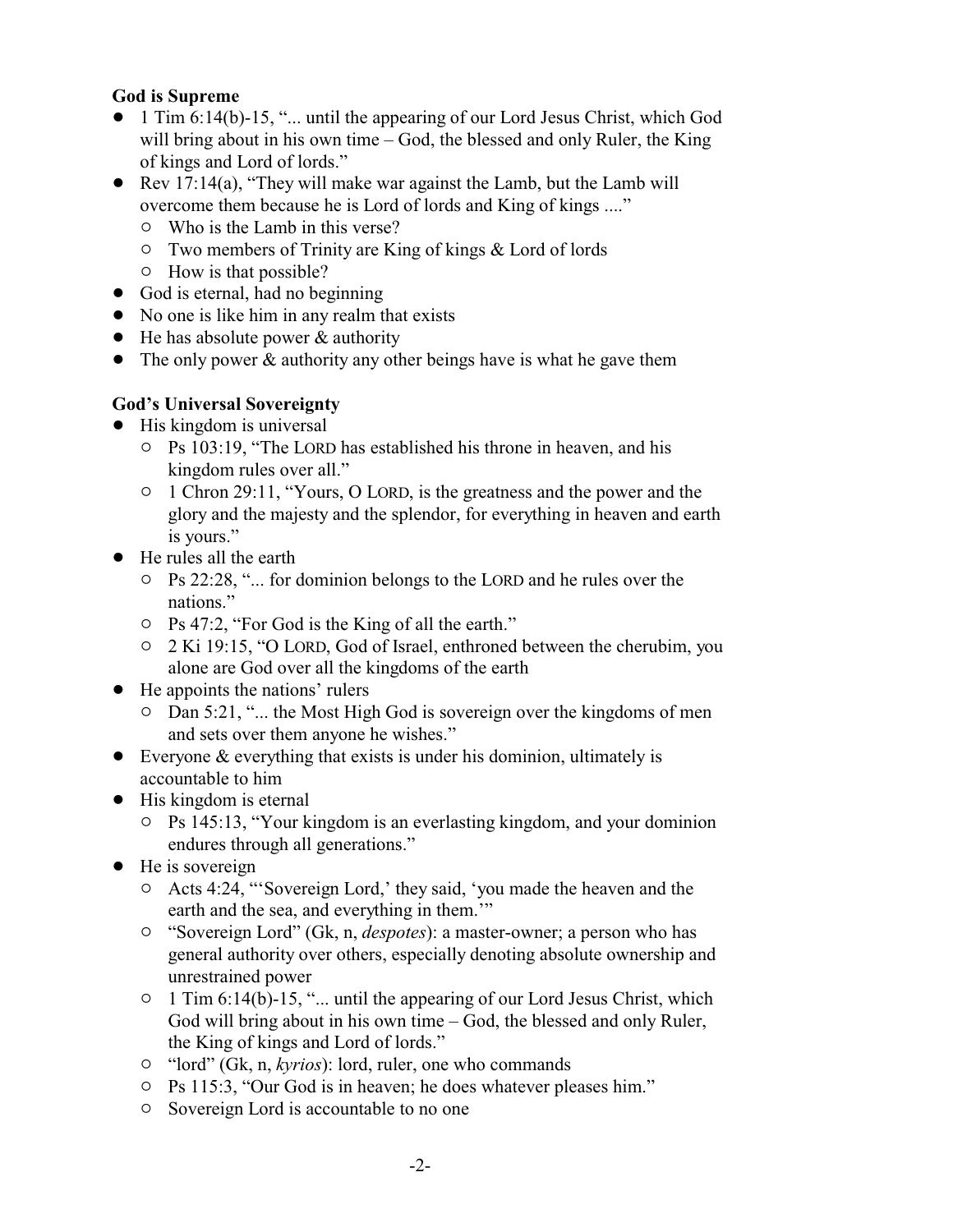### **God is Supreme**

- ! 1 Tim 6:14(b)-15, "... until the appearing of our Lord Jesus Christ, which God will bring about in his own time – God, the blessed and only Ruler, the King of kings and Lord of lords."
- $\bullet$  Rev 17:14(a), "They will make war against the Lamb, but the Lamb will overcome them because he is Lord of lords and King of kings ...."
	- $\circ$  Who is the Lamb in this verse?
	- $\circ$  Two members of Trinity are King of kings & Lord of lords
	- $\circ$  How is that possible?
- God is eternal, had no beginning
- No one is like him in any realm that exists
- $\bullet$  He has absolute power & authority
- The only power & authority any other beings have is what he gave them

### **God's Universal Sovereignty**

- His kingdom is universal
	- $\circ$  Ps 103:19, "The LORD has established his throne in heaven, and his kingdom rules over all."
	- $\circ$  1 Chron 29:11, "Yours, O LORD, is the greatness and the power and the glory and the majesty and the splendor, for everything in heaven and earth is yours."
- He rules all the earth
	- $\circ$  Ps 22:28, "... for dominion belongs to the LORD and he rules over the nations."
	- " Ps 47:2, "For God is the King of all the earth."
	- " 2 Ki 19:15, "O LORD, God of Israel, enthroned between the cherubim, you alone are God over all the kingdoms of the earth
- He appoints the nations' rulers
	- <sup>o</sup> Dan 5:21, "... the Most High God is sovereign over the kingdoms of men and sets over them anyone he wishes."
- $\bullet$  Everyone & everything that exists is under his dominion, ultimately is accountable to him
- $\bullet$  His kingdom is eternal
	- " Ps 145:13, "Your kingdom is an everlasting kingdom, and your dominion endures through all generations."
- $\bullet$  He is sovereign
	- $\circ$  Acts 4:24, "'Sovereign Lord,' they said, 'you made the heaven and the earth and the sea, and everything in them."
	- " "Sovereign Lord" (Gk, n, *despotes*): a master-owner; a person who has general authority over others, especially denoting absolute ownership and unrestrained power
	- $\circ$  1 Tim 6:14(b)-15, "... until the appearing of our Lord Jesus Christ, which God will bring about in his own time – God, the blessed and only Ruler, the King of kings and Lord of lords."
	- <sup>o</sup> "lord" (Gk, n, *kyrios*): lord, ruler, one who commands
	- <sup>o</sup> Ps 115:3, "Our God is in heaven; he does whatever pleases him."
	- $\circ$  Sovereign Lord is accountable to no one